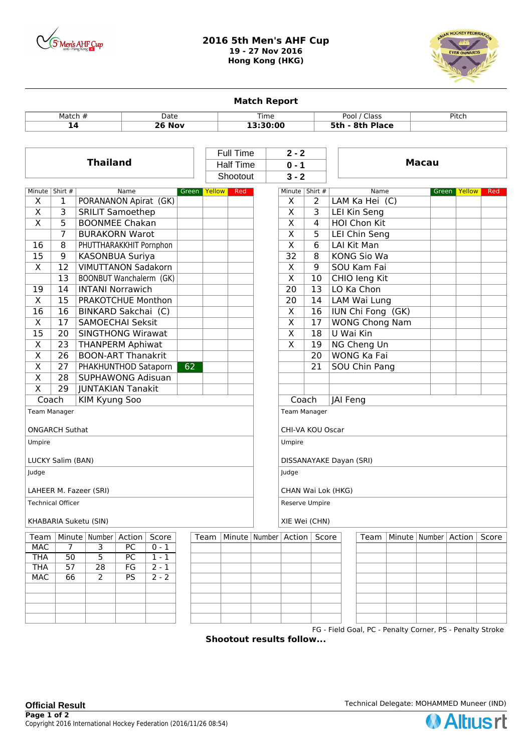

## **2016 5th Men's AHF Cup 19 - 27 Nov 2016 Hong Kong (HKG)**



**Match Report** Match # Date Time Pool / Class Pitch **14 26 Nov 13:30:00 5th - 8th Place Thailand Macau** Half Time **0 - 1** Full Time **2 - 2** Shootout **3 - 2** Minute Shirt # Name Green Yellow Red  $X \mid 1$  PORANANON Apirat (GK)  $X \mid 3$  SRILIT Samoethep  $X \mid 5$  BOONMEE Chakan 7 BURAKORN Warot 16 | 8 | PHUTTHARAKKHIT Pornphon 15 | 9 | KASONBUA Suriya X | 12 | VIMUTTANON Sadakorn 13 BOONBUT Wanchalerm (GK) 19 14 **INTANI Norrawich** X | 15 | PRAKOTCHUE Monthon 16 16 BINKARD Sakchai (C) X 17 SAMOECHAI Seksit 15 | 20 | SINGTHONG Wirawat X 23 THANPERM Aphiwat  $X$  | 26 | BOON-ART Thanakrit X 27 PHAKHUNTHOD Sataporn 62 X | 28 | SUPHAWONG Adisuan X 29 JUNTAKIAN Tanakit Coach KIM Kyung Soo Team Manager ONGARCH Suthat Umpire LUCKY Salim (BAN) Judge LAHEER M. Fazeer (SRI) Technical Officer KHABARIA Suketu (SIN) Minute Shirt # Name Green Yellow Red  $X \mid 2$  LAM Ka Hei (C)  $X \mid 3$  LEI Kin Seng  $X \mid 4$  HOI Chon Kit  $X \mid 5 \mid$  LEI Chin Seng X 6 LAI Kit Man 32 | 8 | KONG Sio Wa X 9 SOU Kam Fai  $X \mid 10 \mid$  CHIO leng Kit  $20$  | 13 | LO Ka Chon  $20$  | 14 | LAM Wai Lung  $X$  | 16 | IUN Chi Fong (GK) X 17 WONG Chong Nam  $X$  | 18 | U Wai Kin X | 19 | NG Cheng Un 20 WONG Ka Fai 21 SOU Chin Pang Coach | JAI Feng Team Manager CHI-VA KOU Oscar Umpire DISSANAYAKE Dayan (SRI) Judge CHAN Wai Lok (HKG) Reserve Umpire XIE Wei (CHN) Team Minute Number Action Score Team Minute Number Action Score Team Minute Number Action Score  $MAC$   $7$   $3$   $PC$   $0-1$ THA | 50 | 5 | PC | 1 - 1 THA | 57 | 28 | FG | 2-1 MAC 66 2 PS 2-2

FG - Field Goal, PC - Penalty Corner, PS - Penalty Stroke

**Shootout results follow...**

**Official Result Network** Technical Delegate: MOHAMMED Muneer (IND)